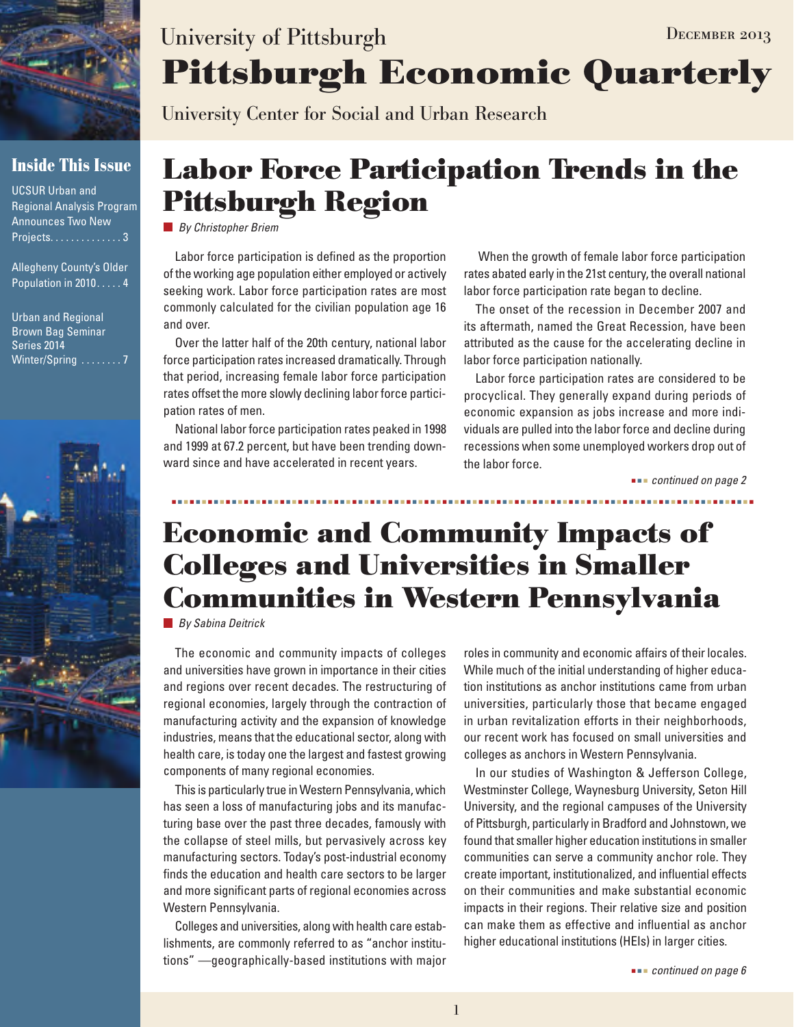

### **Inside This Issue**

UCSUR Urban and Regional Analysis Program Announces Two New Projects. . . . . . . . . . . . . . 3

Allegheny County's Older Population in 2010 . . . . . 4

Urban and Regional Brown Bag Seminar Series 2014 Winter/Spring ........7



# **Pittsburgh Economic Quarterly** University of Pittsburgh DECEMBER 2013

University Center for Social and Urban Research

# **Labor Force Participation Trends in the Pittsburgh Region**

*By Christopher Briem*

Labor force participation is defined as the proportion of the working age population either employed or actively seeking work. Labor force participation rates are most commonly calculated for the civilian population age 16 and over.

Over the latter half of the 20th century, national labor force participation rates increased dramatically. Through that period, increasing female labor force participation rates offset the more slowly declining labor force participation rates of men.

National labor force participation rates peaked in 1998 and 1999 at 67.2 percent, but have been trending downward since and have accelerated in recent years.

 When the growth of female labor force participation rates abated early in the 21st century, the overall national labor force participation rate began to decline.

The onset of the recession in December 2007 and its aftermath, named the Great Recession, have been attributed as the cause for the accelerating decline in labor force participation nationally.

Labor force participation rates are considered to be procyclical. They generally expand during periods of economic expansion as jobs increase and more individuals are pulled into the labor force and decline during recessions when some unemployed workers drop out of the labor force.

 *continued on page 2*

# **Economic and Community Impacts of Colleges and Universities in Smaller Communities in Western Pennsylvania**

*By Sabina Deitrick* 

The economic and community impacts of colleges and universities have grown in importance in their cities and regions over recent decades. The restructuring of regional economies, largely through the contraction of manufacturing activity and the expansion of knowledge industries, means that the educational sector, along with health care, is today one the largest and fastest growing components of many regional economies.

This is particularly true in Western Pennsylvania, which has seen a loss of manufacturing jobs and its manufacturing base over the past three decades, famously with the collapse of steel mills, but pervasively across key manufacturing sectors. Today's post-industrial economy finds the education and health care sectors to be larger and more significant parts of regional economies across Western Pennsylvania.

Colleges and universities, along with health care establishments, are commonly referred to as "anchor institutions" —geographically-based institutions with major roles in community and economic affairs of their locales. While much of the initial understanding of higher education institutions as anchor institutions came from urban universities, particularly those that became engaged in urban revitalization efforts in their neighborhoods, our recent work has focused on small universities and colleges as anchors in Western Pennsylvania.

In our studies of Washington & Jefferson College, Westminster College, Waynesburg University, Seton Hill University, and the regional campuses of the University of Pittsburgh, particularly in Bradford and Johnstown, we found that smaller higher education institutions in smaller communities can serve a community anchor role. They create important, institutionalized, and influential effects on their communities and make substantial economic impacts in their regions. Their relative size and position can make them as effective and influential as anchor higher educational institutions (HEIs) in larger cities.

 *continued on page 6*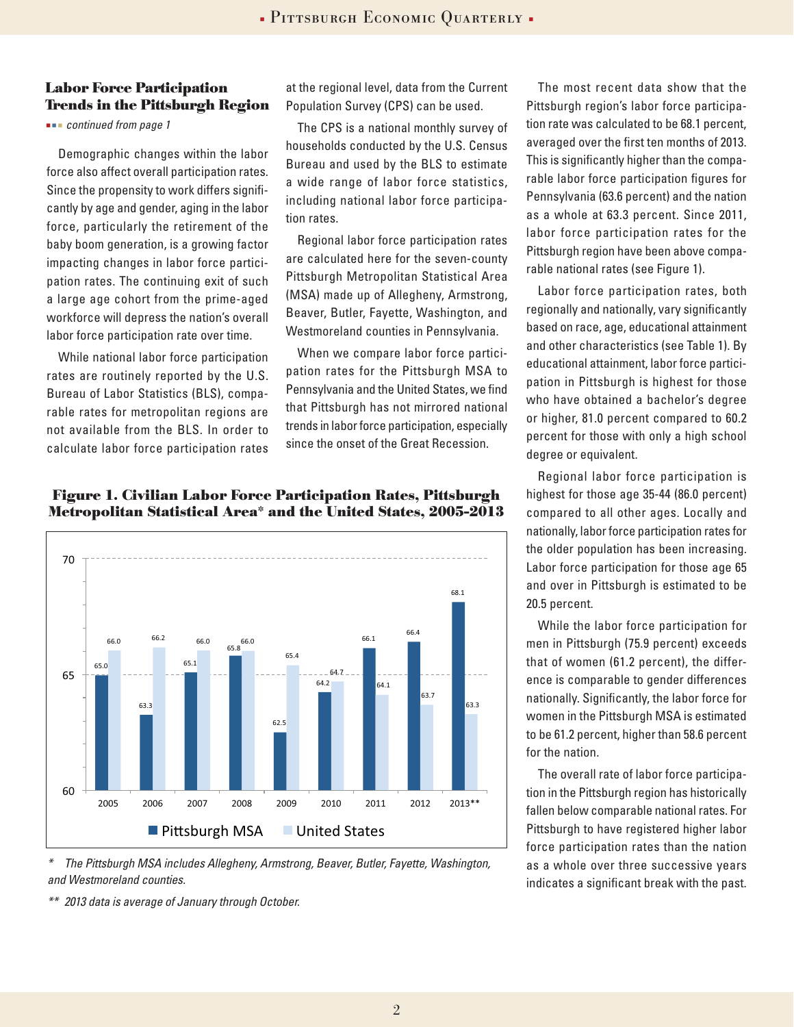#### **Labor Force Participation Trends in the Pittsburgh Region**

 *continued from page 1*

Demographic changes within the labor force also affect overall participation rates. Since the propensity to work differs significantly by age and gender, aging in the labor force, particularly the retirement of the baby boom generation, is a growing factor impacting changes in labor force participation rates. The continuing exit of such a large age cohort from the prime-aged workforce will depress the nation's overall labor force participation rate over time.

While national labor force participation rates are routinely reported by the U.S. Bureau of Labor Statistics (BLS), comparable rates for metropolitan regions are not available from the BLS. In order to calculate labor force participation rates at the regional level, data from the Current Population Survey (CPS) can be used.

The CPS is a national monthly survey of households conducted by the U.S. Census Bureau and used by the BLS to estimate a wide range of labor force statistics, including national labor force participation rates.

Regional labor force participation rates are calculated here for the seven-county Pittsburgh Metropolitan Statistical Area (MSA) made up of Allegheny, Armstrong, Beaver, Butler, Fayette, Washington, and Westmoreland counties in Pennsylvania.

When we compare labor force participation rates for the Pittsburgh MSA to Pennsylvania and the United States, we find that Pittsburgh has not mirrored national trends in labor force participation, especially since the onset of the Great Recession.

65.0 63.3 65.1 65.8 66.0 66.2 66.0 66.0 62.5 64.2 66.1 66.4 68.1 65.4 64.7 64.1 63.7  $53.3$ 60 65 70 2005 2006 2007 2008 2009 2010 2011 2012 2013\*\* **Percent Pittsburgh MSA** United States



*\* The Pittsburgh MSA includes Allegheny, Armstrong, Beaver, Butler, Fayette, Washington, and Westmoreland counties.*

*\*\* 2013 data is average of January through October.*

The most recent data show that the Pittsburgh region's labor force participation rate was calculated to be 68.1 percent, averaged over the first ten months of 2013. This is significantly higher than the comparable labor force participation figures for Pennsylvania (63.6 percent) and the nation as a whole at 63.3 percent. Since 2011, labor force participation rates for the Pittsburgh region have been above comparable national rates (see Figure 1).

Labor force participation rates, both regionally and nationally, vary significantly based on race, age, educational attainment and other characteristics (see Table 1). By educational attainment, labor force participation in Pittsburgh is highest for those who have obtained a bachelor's degree or higher, 81.0 percent compared to 60.2 percent for those with only a high school degree or equivalent.

Regional labor force participation is highest for those age 35-44 (86.0 percent) compared to all other ages. Locally and nationally, labor force participation rates for the older population has been increasing. Labor force participation for those age 65 and over in Pittsburgh is estimated to be 20.5 percent.

While the labor force participation for men in Pittsburgh (75.9 percent) exceeds that of women (61.2 percent), the difference is comparable to gender differences nationally. Significantly, the labor force for women in the Pittsburgh MSA is estimated to be 61.2 percent, higher than 58.6 percent for the nation.

The overall rate of labor force participation in the Pittsburgh region has historically fallen below comparable national rates. For Pittsburgh to have registered higher labor force participation rates than the nation as a whole over three successive years indicates a significant break with the past.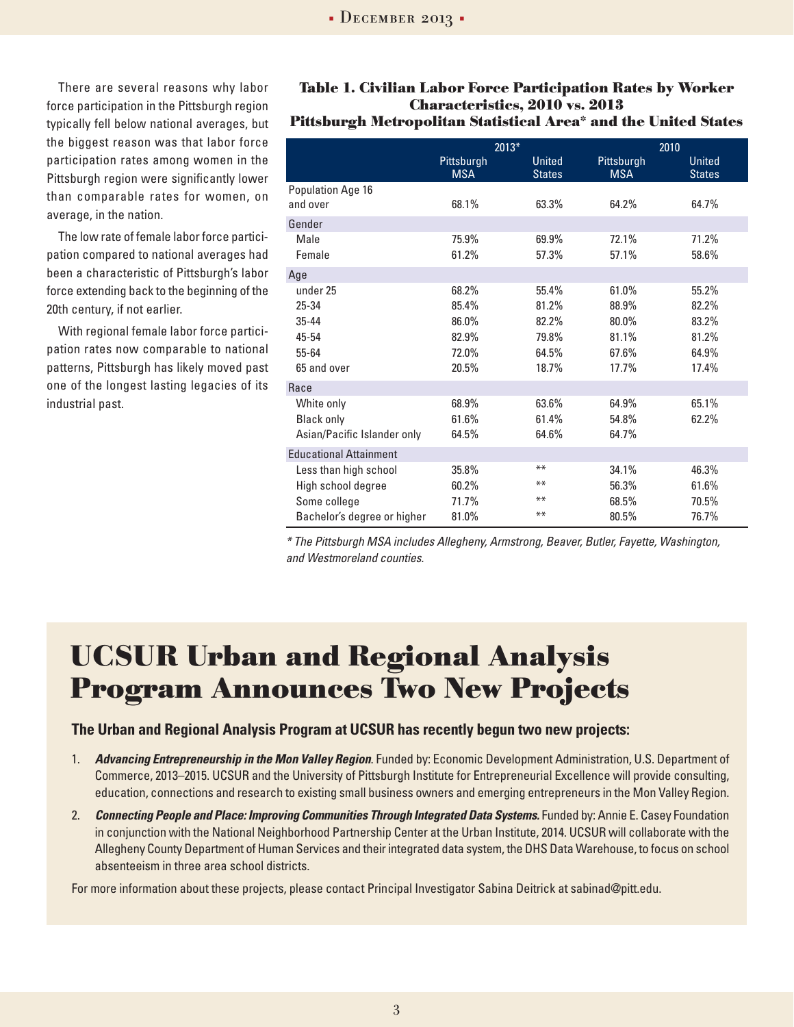There are several reasons why labor force participation in the Pittsburgh region typically fell below national averages, but the biggest reason was that labor force participation rates among women in the Pittsburgh region were significantly lower than comparable rates for women, on average, in the nation.

The low rate of female labor force participation compared to national averages had been a characteristic of Pittsburgh's labor force extending back to the beginning of the 20th century, if not earlier.

With regional female labor force participation rates now comparable to national patterns, Pittsburgh has likely moved past one of the longest lasting legacies of its industrial past.

#### **Table 1. Civilian Labor Force Participation Rates by Worker Characteristics, 2010 vs. 2013 Pittsburgh Metropolitan Statistical Area\* and the United States**

|                                                                                                                             | 2013*                                                                         |                                                                               | 2010                                                                          |                                                                      |
|-----------------------------------------------------------------------------------------------------------------------------|-------------------------------------------------------------------------------|-------------------------------------------------------------------------------|-------------------------------------------------------------------------------|----------------------------------------------------------------------|
|                                                                                                                             | Pittsburgh<br><b>MSA</b>                                                      | <b>United</b><br><b>States</b>                                                | Pittsburgh<br><b>MSA</b>                                                      | <b>United</b><br><b>States</b>                                       |
| Population Age 16<br>and over                                                                                               | 68.1%                                                                         | 63.3%                                                                         | 64.2%                                                                         | 64.7%                                                                |
| Gender                                                                                                                      |                                                                               |                                                                               |                                                                               |                                                                      |
| Male<br>Female                                                                                                              | 75.9%<br>61.2%                                                                | 69.9%<br>57.3%                                                                | 72.1%<br>57.1%                                                                | 71.2%<br>58.6%                                                       |
| Age                                                                                                                         |                                                                               |                                                                               |                                                                               |                                                                      |
| under 25<br>25-34<br>$35 - 44$<br>45-54<br>55-64<br>65 and over<br>Race<br>White only<br><b>Black only</b>                  | 68.2%<br>85.4%<br>86.0%<br>82.9%<br>72.0%<br>20.5%<br>68.9%<br>61.6%<br>64.5% | 55.4%<br>81.2%<br>82.2%<br>79.8%<br>64.5%<br>18.7%<br>63.6%<br>61.4%<br>64.6% | 61.0%<br>88.9%<br>80.0%<br>81.1%<br>67.6%<br>17.7%<br>64.9%<br>54.8%<br>64.7% | 55.2%<br>82.2%<br>83.2%<br>81.2%<br>64.9%<br>17.4%<br>65.1%<br>62.2% |
| Asian/Pacific Islander only                                                                                                 |                                                                               |                                                                               |                                                                               |                                                                      |
| <b>Educational Attainment</b><br>Less than high school<br>High school degree<br>Some college<br>Bachelor's degree or higher | 35.8%<br>60.2%<br>71.7%<br>81.0%                                              | $***$<br>$***$<br>$***$<br>$***$                                              | 34.1%<br>56.3%<br>68.5%<br>80.5%                                              | 46.3%<br>61.6%<br>70.5%<br>76.7%                                     |

*\* The Pittsburgh MSA includes Allegheny, Armstrong, Beaver, Butler, Fayette, Washington, and Westmoreland counties.* 

## **UCSUR Urban and Regional Analysis Program Announces Two New Projects**

#### **The Urban and Regional Analysis Program at UCSUR has recently begun two new projects:**

- 1. *Advancing Entrepreneurship in the Mon Valley Region*. Funded by: Economic Development Administration, U.S. Department of Commerce, 2013–2015. UCSUR and the University of Pittsburgh Institute for Entrepreneurial Excellence will provide consulting, education, connections and research to existing small business owners and emerging entrepreneurs in the Mon Valley Region.
- 2. *Connecting People and Place: Improving Communities Through Integrated Data Systems.* Funded by: Annie E. Casey Foundation in conjunction with the National Neighborhood Partnership Center at the Urban Institute, 2014. UCSUR will collaborate with the Allegheny County Department of Human Services and their integrated data system, the DHS Data Warehouse, to focus on school absenteeism in three area school districts.

For more information about these projects, please contact Principal Investigator Sabina Deitrick at sabinad@pitt.edu.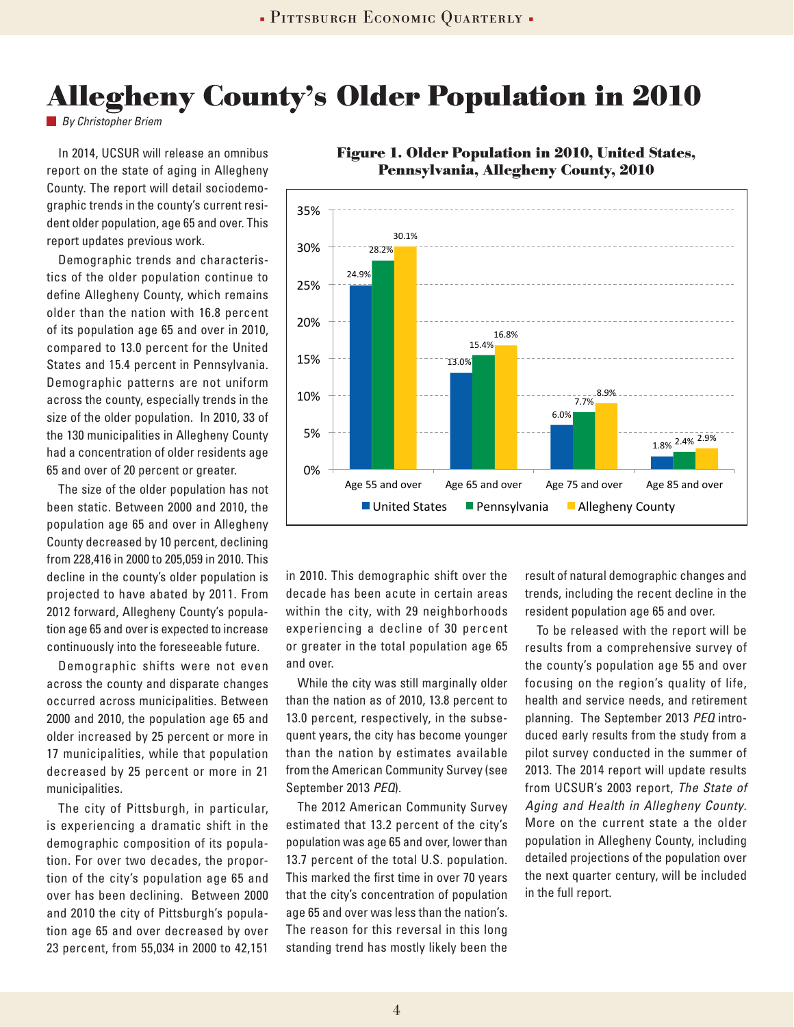# **Allegheny County's Older Population in 2010**

*By Christopher Briem*

In 2014, UCSUR will release an omnibus report on the state of aging in Allegheny County. The report will detail sociodemographic trends in the county's current resident older population, age 65 and over. This report updates previous work.

Demographic trends and characteristics of the older population continue to define Allegheny County, which remains older than the nation with 16.8 percent of its population age 65 and over in 2010, compared to 13.0 percent for the United States and 15.4 percent in Pennsylvania. Demographic patterns are not uniform across the county, especially trends in the size of the older population. In 2010, 33 of the 130 municipalities in Allegheny County had a concentration of older residents age 65 and over of 20 percent or greater.

The size of the older population has not been static. Between 2000 and 2010, the population age 65 and over in Allegheny County decreased by 10 percent, declining from 228,416 in 2000 to 205,059 in 2010. This decline in the county's older population is projected to have abated by 2011. From 2012 forward, Allegheny County's population age 65 and over is expected to increase continuously into the foreseeable future.

Demographic shifts were not even across the county and disparate changes occurred across municipalities. Between 2000 and 2010, the population age 65 and older increased by 25 percent or more in 17 municipalities, while that population decreased by 25 percent or more in 21 municipalities.

The city of Pittsburgh, in particular, is experiencing a dramatic shift in the demographic composition of its population. For over two decades, the proportion of the city's population age 65 and over has been declining. Between 2000 and 2010 the city of Pittsburgh's population age 65 and over decreased by over 23 percent, from 55,034 in 2000 to 42,151



**Figure 1. Older Population in 2010, United States, Pennsylvania, Allegheny County, 2010**

in 2010. This demographic shift over the decade has been acute in certain areas within the city, with 29 neighborhoods experiencing a decline of 30 percent or greater in the total population age 65 and over.

While the city was still marginally older than the nation as of 2010, 13.8 percent to 13.0 percent, respectively, in the subsequent years, the city has become younger than the nation by estimates available from the American Community Survey (see September 2013 *PEQ*).

The 2012 American Community Survey estimated that 13.2 percent of the city's population was age 65 and over, lower than 13.7 percent of the total U.S. population. This marked the first time in over 70 years that the city's concentration of population age 65 and over was less than the nation's. The reason for this reversal in this long standing trend has mostly likely been the

result of natural demographic changes and trends, including the recent decline in the resident population age 65 and over.

To be released with the report will be results from a comprehensive survey of the county's population age 55 and over focusing on the region's quality of life, health and service needs, and retirement planning. The September 2013 *PEQ* introduced early results from the study from a pilot survey conducted in the summer of 2013. The 2014 report will update results from UCSUR's 2003 report, *The State of Aging and Health in Allegheny County*. More on the current state a the older population in Allegheny County, including detailed projections of the population over the next quarter century, will be included in the full report.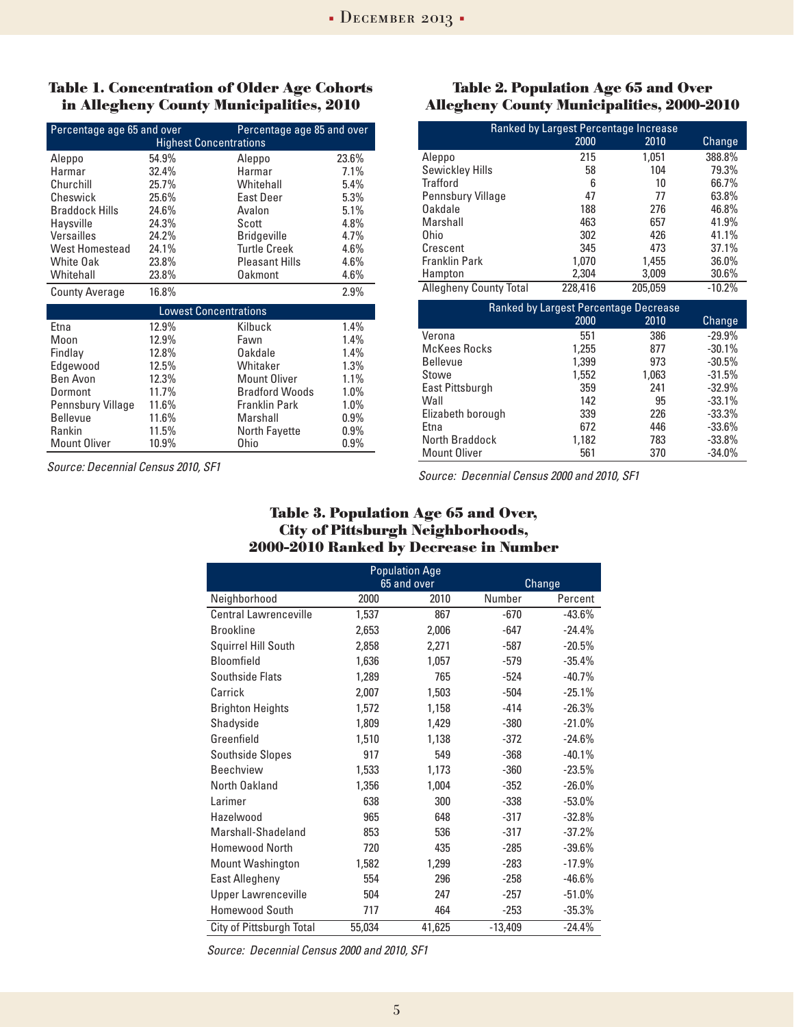#### **Table 1. Concentration of Older Age Cohorts in Allegheny County Municipalities, 2010**

| Percentage age 65 and over<br>Percentage age 85 and over |       |                       |         |  |
|----------------------------------------------------------|-------|-----------------------|---------|--|
| <b>Highest Concentrations</b>                            |       |                       |         |  |
| Aleppo                                                   | 54.9% | Aleppo                | 23.6%   |  |
| Harmar                                                   | 32.4% | Harmar                | 7.1%    |  |
| Churchill                                                | 25.7% | Whitehall             | 5.4%    |  |
| Cheswick                                                 | 25.6% | <b>East Deer</b>      | 5.3%    |  |
| <b>Braddock Hills</b>                                    | 24.6% | Avalon                | 5.1%    |  |
| Haysville                                                | 24.3% | Scott                 | 4.8%    |  |
| Versailles                                               | 24.2% | <b>Bridgeville</b>    | 4.7%    |  |
| <b>West Homestead</b>                                    | 24.1% | <b>Turtle Creek</b>   | 4.6%    |  |
| <b>White Oak</b>                                         | 23.8% | <b>Pleasant Hills</b> | 4.6%    |  |
| Whitehall                                                | 23.8% | <b>Oakmont</b>        | 4.6%    |  |
| <b>County Average</b>                                    | 16.8% |                       | 2.9%    |  |
| <b>Lowest Concentrations</b>                             |       |                       |         |  |
| Etna                                                     | 12.9% | Kilbuck               | 1.4%    |  |
| Moon                                                     | 12.9% | Fawn                  | 1.4%    |  |
| Findlay                                                  | 12.8% | Oakdale               | 1.4%    |  |
| Edgewood                                                 | 12.5% | Whitaker              | 1.3%    |  |
| Ben Avon                                                 | 12.3% | <b>Mount Oliver</b>   | 1.1%    |  |
| Dormont                                                  | 11.7% | <b>Bradford Woods</b> | 1.0%    |  |
| Pennsbury Village                                        | 11.6% | <b>Franklin Park</b>  | 1.0%    |  |
| <b>Bellevue</b>                                          | 11.6% | Marshall              | $0.9\%$ |  |
| Rankin                                                   | 11.5% | <b>North Fayette</b>  | 0.9%    |  |
| <b>Mount Oliver</b>                                      | 10.9% | <b>Ohio</b>           | $0.9\%$ |  |

*Source: Decennial Census 2010, SF1* 

#### **Table 2. Population Age 65 and Over Allegheny County Municipalities, 2000-2010**

| Ranked by Largest Percentage Increase |         |         |          |  |
|---------------------------------------|---------|---------|----------|--|
|                                       | 2000    | 2010    | Change   |  |
| Aleppo                                | 215     | 1.051   | 388.8%   |  |
| Sewickley Hills                       | 58      | 104     | 79.3%    |  |
| Trafford                              | 6       | 10      | 66.7%    |  |
| Pennsbury Village                     | 47      | 77      | 63.8%    |  |
| Oakdale                               | 188     | 276     | 46.8%    |  |
| Marshall                              | 463     | 657     | 41.9%    |  |
| 0hio                                  | 302     | 426     | 41.1%    |  |
| Crescent                              | 345     | 473     | 37.1%    |  |
| Franklin Park                         | 1,070   | 1,455   | 36.0%    |  |
| Hampton                               | 2,304   | 3,009   | 30.6%    |  |
| <b>Allegheny County Total</b>         | 228,416 | 205,059 | $-10.2%$ |  |

| Ranked by Largest Percentage Decrease |       |       |          |  |
|---------------------------------------|-------|-------|----------|--|
|                                       | 2000  | 2010  | Change   |  |
| Verona                                | 551   | 386   | $-29.9%$ |  |
| <b>McKees Rocks</b>                   | 1,255 | 877   | $-30.1%$ |  |
| <b>Bellevue</b>                       | 1,399 | 973   | $-30.5%$ |  |
| Stowe                                 | 1,552 | 1,063 | $-31.5%$ |  |
| East Pittsburgh                       | 359   | 241   | $-32.9%$ |  |
| Wall                                  | 142   | 95    | $-33.1%$ |  |
| Elizabeth borough                     | 339   | 226   | $-33.3%$ |  |
| Etna                                  | 672   | 446   | $-33.6%$ |  |
| North Braddock                        | 1,182 | 783   | $-33.8%$ |  |
| <b>Mount Oliver</b>                   | 561   | 370   | $-34.0%$ |  |

*Source: Decennial Census 2000 and 2010, SF1* 

#### **Table 3. Population Age 65 and Over, City of Pittsburgh Neighborhoods, 2000-2010 Ranked by Decrease in Number**

| <b>Population Age</b>        |             |        |           |               |  |
|------------------------------|-------------|--------|-----------|---------------|--|
|                              | 65 and over |        |           | <b>Change</b> |  |
| Neighborhood                 | 2000        | 2010   | Number    | Percent       |  |
| <b>Central Lawrenceville</b> | 1,537       | 867    | $-670$    | $-43.6%$      |  |
| <b>Brookline</b>             | 2,653       | 2,006  | $-647$    | $-24.4%$      |  |
| Squirrel Hill South          | 2,858       | 2,271  | $-587$    | $-20.5%$      |  |
| <b>Bloomfield</b>            | 1,636       | 1,057  | $-579$    | $-35.4%$      |  |
| Southside Flats              | 1,289       | 765    | $-524$    | $-40.7%$      |  |
| Carrick                      | 2,007       | 1,503  | $-504$    | $-25.1%$      |  |
| <b>Brighton Heights</b>      | 1,572       | 1,158  | $-414$    | $-26.3%$      |  |
| Shadyside                    | 1,809       | 1,429  | $-380$    | $-21.0%$      |  |
| Greenfield                   | 1,510       | 1,138  | -372      | $-24.6%$      |  |
| <b>Southside Slopes</b>      | 917         | 549    | -368      | $-40.1%$      |  |
| <b>Beechview</b>             | 1,533       | 1,173  | $-360$    | $-23.5%$      |  |
| North Oakland                | 1,356       | 1,004  | $-352$    | $-26.0%$      |  |
| Larimer                      | 638         | 300    | $-338$    | $-53.0%$      |  |
| Hazelwood                    | 965         | 648    | $-317$    | $-32.8%$      |  |
| Marshall-Shadeland           | 853         | 536    | $-317$    | $-37.2%$      |  |
| Homewood North               | 720         | 435    | $-285$    | $-39.6%$      |  |
| <b>Mount Washington</b>      | 1,582       | 1,299  | $-283$    | $-17.9%$      |  |
| East Allegheny               | 554         | 296    | $-258$    | $-46.6%$      |  |
| <b>Upper Lawrenceville</b>   | 504         | 247    | $-257$    | $-51.0%$      |  |
| <b>Homewood South</b>        | 717         | 464    | $-253$    | $-35.3%$      |  |
| City of Pittsburgh Total     | 55,034      | 41,625 | $-13,409$ | $-24.4%$      |  |

*Source: Decennial Census 2000 and 2010, SF1*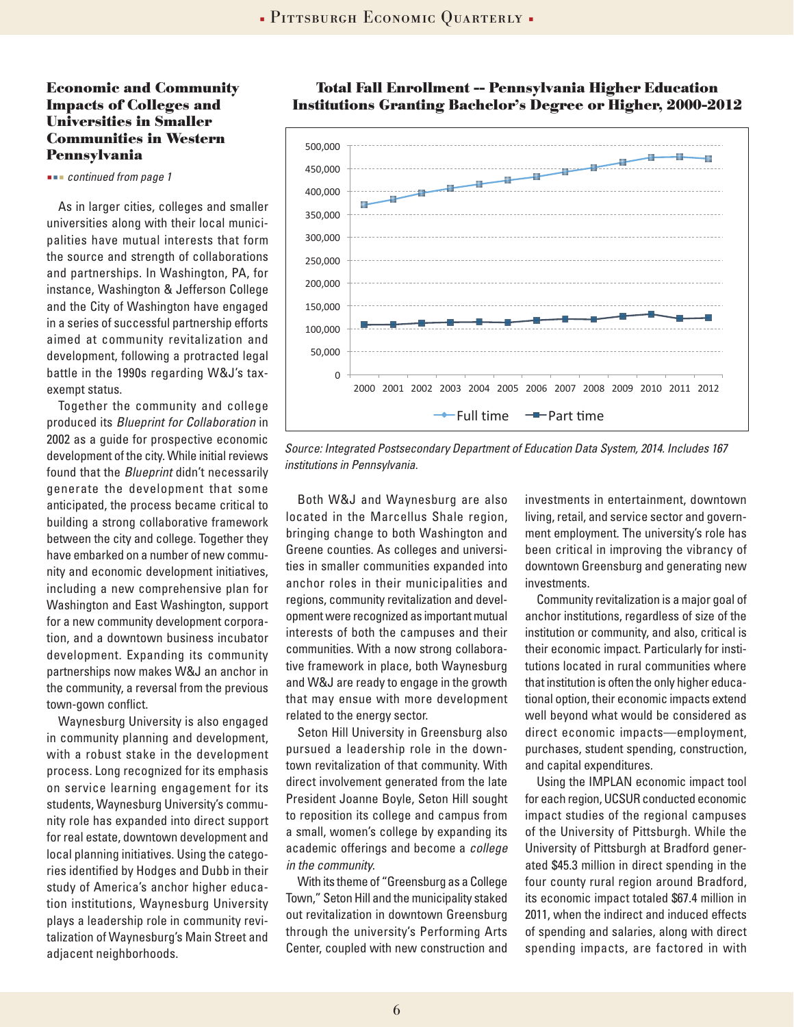#### **Economic and Community Impacts of Colleges and Universities in Smaller Communities in Western Pennsylvania**

 *continued from page 1*

As in larger cities, colleges and smaller universities along with their local municipalities have mutual interests that form the source and strength of collaborations and partnerships. In Washington, PA, for instance, Washington & Jefferson College and the City of Washington have engaged in a series of successful partnership efforts aimed at community revitalization and development, following a protracted legal battle in the 1990s regarding W&J's taxexempt status.

Together the community and college produced its *Blueprint for Collaboration* in 2002 as a guide for prospective economic development of the city. While initial reviews found that the *Blueprint* didn't necessarily generate the development that some anticipated, the process became critical to building a strong collaborative framework between the city and college. Together they have embarked on a number of new community and economic development initiatives, including a new comprehensive plan for Washington and East Washington, support for a new community development corporation, and a downtown business incubator development. Expanding its community partnerships now makes W&J an anchor in the community, a reversal from the previous town-gown conflict.

Waynesburg University is also engaged in community planning and development, with a robust stake in the development process. Long recognized for its emphasis on service learning engagement for its students, Waynesburg University's community role has expanded into direct support for real estate, downtown development and local planning initiatives. Using the categories identified by Hodges and Dubb in their study of America's anchor higher education institutions, Waynesburg University plays a leadership role in community revitalization of Waynesburg's Main Street and adjacent neighborhoods.



**Total Fall Enrollment -- Pennsylvania Higher Education Institutions Granting Bachelor's Degree or Higher, 2000-2012**

*Source: Integrated Postsecondary Department of Education Data System, 2014. Includes 167 institutions in Pennsylvania.* 

Both W&J and Waynesburg are also located in the Marcellus Shale region, bringing change to both Washington and Greene counties. As colleges and universities in smaller communities expanded into anchor roles in their municipalities and regions, community revitalization and development were recognized as important mutual interests of both the campuses and their communities. With a now strong collaborative framework in place, both Waynesburg and W&J are ready to engage in the growth that may ensue with more development related to the energy sector.

Seton Hill University in Greensburg also pursued a leadership role in the downtown revitalization of that community. With direct involvement generated from the late President Joanne Boyle, Seton Hill sought to reposition its college and campus from a small, women's college by expanding its academic offerings and become a *college in the community*.

With its theme of "Greensburg as a College Town," Seton Hill and the municipality staked out revitalization in downtown Greensburg through the university's Performing Arts Center, coupled with new construction and

investments in entertainment, downtown living, retail, and service sector and government employment. The university's role has been critical in improving the vibrancy of downtown Greensburg and generating new investments.

Community revitalization is a major goal of anchor institutions, regardless of size of the institution or community, and also, critical is their economic impact. Particularly for institutions located in rural communities where that institution is often the only higher educational option, their economic impacts extend well beyond what would be considered as direct economic impacts—employment, purchases, student spending, construction, and capital expenditures.

Using the IMPLAN economic impact tool for each region, UCSUR conducted economic impact studies of the regional campuses of the University of Pittsburgh. While the University of Pittsburgh at Bradford generated \$45.3 million in direct spending in the four county rural region around Bradford, its economic impact totaled \$67.4 million in 2011, when the indirect and induced effects of spending and salaries, along with direct spending impacts, are factored in with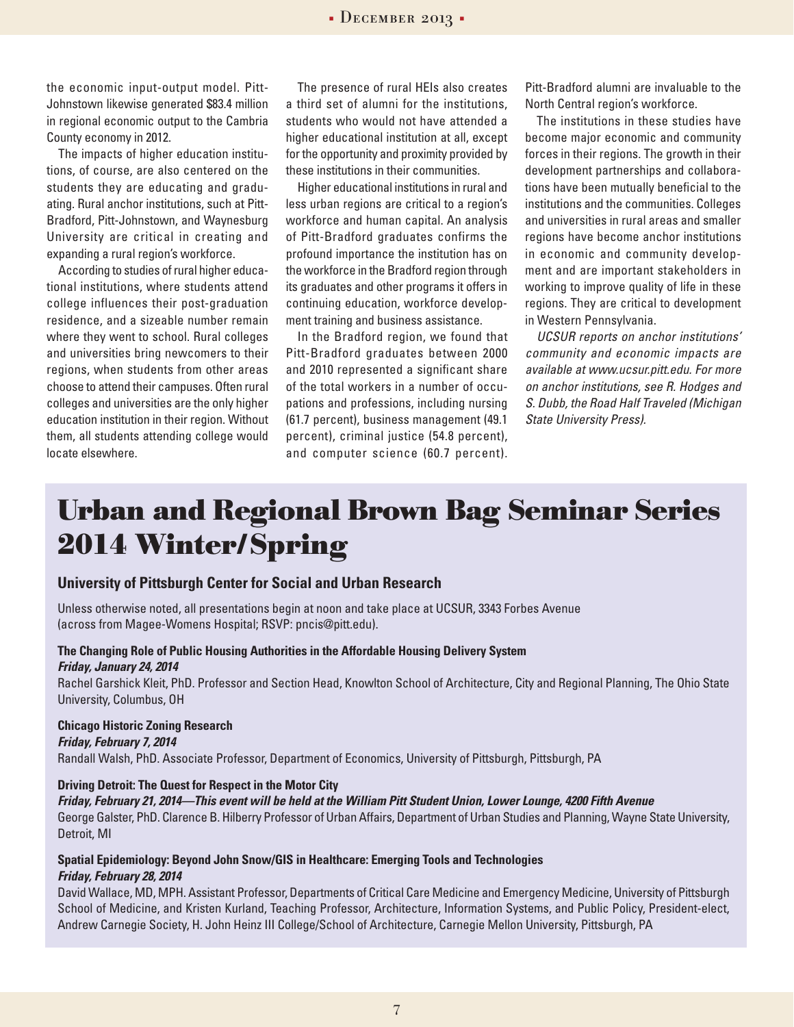7

#### $\bullet$  DECEMBER 2013  $\bullet$

the economic input-output model. Pitt-Johnstown likewise generated \$83.4 million in regional economic output to the Cambria County economy in 2012.

The impacts of higher education institutions, of course, are also centered on the students they are educating and graduating. Rural anchor institutions, such at Pitt-Bradford, Pitt-Johnstown, and Waynesburg University are critical in creating and expanding a rural region's workforce.

According to studies of rural higher educational institutions, where students attend college influences their post-graduation residence, and a sizeable number remain where they went to school. Rural colleges and universities bring newcomers to their regions, when students from other areas choose to attend their campuses. Often rural colleges and universities are the only higher education institution in their region. Without them, all students attending college would locate elsewhere.

The presence of rural HEIs also creates a third set of alumni for the institutions, students who would not have attended a higher educational institution at all, except for the opportunity and proximity provided by these institutions in their communities.

Higher educational institutions in rural and less urban regions are critical to a region's workforce and human capital. An analysis of Pitt-Bradford graduates confirms the profound importance the institution has on the workforce in the Bradford region through its graduates and other programs it offers in continuing education, workforce development training and business assistance.

In the Bradford region, we found that Pitt-Bradford graduates between 2000 and 2010 represented a significant share of the total workers in a number of occupations and professions, including nursing (61.7 percent), business management (49.1 percent), criminal justice (54.8 percent), and computer science (60.7 percent). Pitt-Bradford alumni are invaluable to the North Central region's workforce.

The institutions in these studies have become major economic and community forces in their regions. The growth in their development partnerships and collaborations have been mutually beneficial to the institutions and the communities. Colleges and universities in rural areas and smaller regions have become anchor institutions in economic and community development and are important stakeholders in working to improve quality of life in these regions. They are critical to development in Western Pennsylvania.

*UCSUR reports on anchor institutions' community and economic impacts are available at www.ucsur.pitt.edu. For more on anchor institutions, see R. Hodges and S. Dubb, the Road Half Traveled (Michigan State University Press).*

# **Urban and Regional Brown Bag Seminar Series 2014 Winter/Spring**

#### **University of Pittsburgh Center for Social and Urban Research**

Unless otherwise noted, all presentations begin at noon and take place at UCSUR, 3343 Forbes Avenue (across from Magee-Womens Hospital; RSVP: pncis@pitt.edu).

#### **The Changing Role of Public Housing Authorities in the Affordable Housing Delivery System** *Friday, January 24, 2014*

Rachel Garshick Kleit, PhD. Professor and Section Head, Knowlton School of Architecture, City and Regional Planning, The Ohio State University, Columbus, OH

#### **Chicago Historic Zoning Research**

*Friday, February 7, 2014* 

Randall Walsh, PhD. Associate Professor, Department of Economics, University of Pittsburgh, Pittsburgh, PA

#### **Driving Detroit: The Quest for Respect in the Motor City**

*Friday, February 21, 2014—This event will be held at the William Pitt Student Union, Lower Lounge, 4200 Fifth Avenue* George Galster, PhD. Clarence B. Hilberry Professor of Urban Affairs, Department of Urban Studies and Planning, Wayne State University, Detroit, MI

#### **Spatial Epidemiology: Beyond John Snow/GIS in Healthcare: Emerging Tools and Technologies** *Friday, February 28, 2014*

David Wallace, MD, MPH. Assistant Professor, Departments of Critical Care Medicine and Emergency Medicine, University of Pittsburgh School of Medicine, and Kristen Kurland, Teaching Professor, Architecture, Information Systems, and Public Policy, President-elect, Andrew Carnegie Society, H. John Heinz III College/School of Architecture, Carnegie Mellon University, Pittsburgh, PA